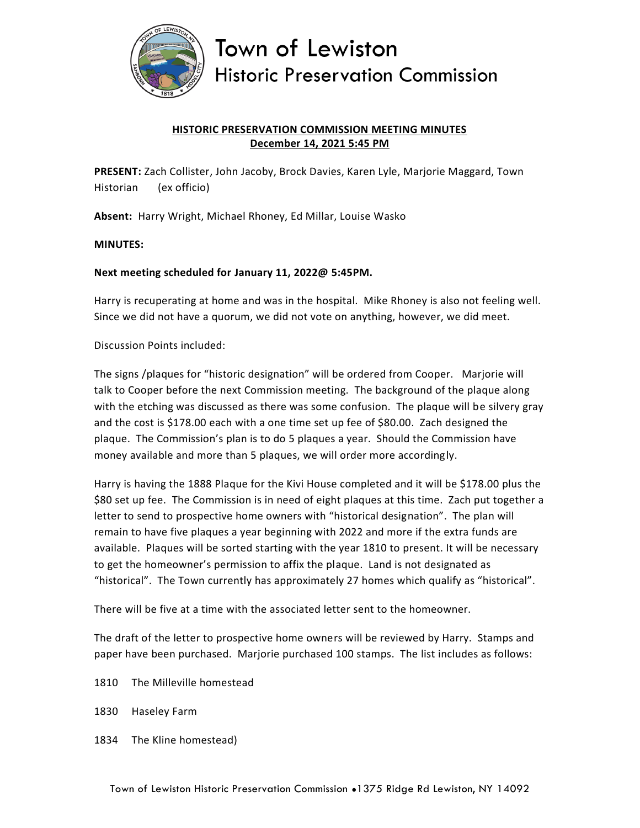

Town of Lewiston **Historic Preservation Commission** 

## **HISTORIC PRESERVATION COMMISSION MEETING MINUTES December 14, 2021 5:45 PM**

**PRESENT:** Zach Collister, John Jacoby, Brock Davies, Karen Lyle, Marjorie Maggard, Town Historian (ex officio)

**Absent:** Harry Wright, Michael Rhoney, Ed Millar, Louise Wasko

## **MINUTES:**

## **Next meeting scheduled for January 11, 2022@ 5:45PM.**

Harry is recuperating at home and was in the hospital. Mike Rhoney is also not feeling well. Since we did not have a quorum, we did not vote on anything, however, we did meet.

Discussion Points included:

The signs /plaques for "historic designation" will be ordered from Cooper. Marjorie will talk to Cooper before the next Commission meeting. The background of the plaque along with the etching was discussed as there was some confusion. The plaque will be silvery gray and the cost is \$178.00 each with a one time set up fee of \$80.00. Zach designed the plaque. The Commission's plan is to do 5 plaques a year. Should the Commission have money available and more than 5 plaques, we will order more accordingly.

Harry is having the 1888 Plaque for the Kivi House completed and it will be \$178.00 plus the \$80 set up fee. The Commission is in need of eight plaques at this time. Zach put together a letter to send to prospective home owners with "historical designation". The plan will remain to have five plaques a year beginning with 2022 and more if the extra funds are available. Plaques will be sorted starting with the year 1810 to present. It will be necessary to get the homeowner's permission to affix the plaque. Land is not designated as "historical". The Town currently has approximately 27 homes which qualify as "historical".

There will be five at a time with the associated letter sent to the homeowner.

The draft of the letter to prospective home owners will be reviewed by Harry. Stamps and paper have been purchased. Marjorie purchased 100 stamps. The list includes as follows:

- 1810 The Milleville homestead
- 1830 Haseley Farm
- 1834 The Kline homestead)